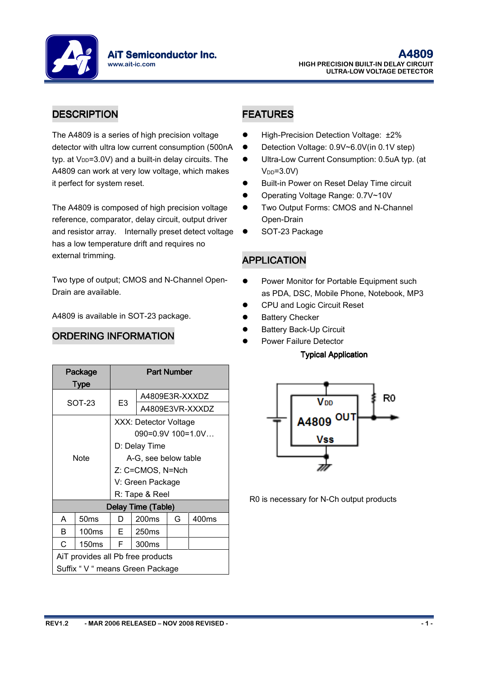**AiT Semiconductor Inc.** www.ait-ic.com

# DESCRIPTION DESCRIPTION FEATURES

The A4809 is a series of high precision voltage detector with ultra low current consumption (500nA typ. at  $V_{DD}$ =3.0V) and a built-in delay circuits. The A4809 can work at very low voltage, which makes it perfect for system reset.

The A4809 is composed of high precision voltage reference, comparator, delay circuit, output driver and resistor array. Internally preset detect voltage has a low temperature drift and requires no external trimming.

Two type of output; CMOS and N-Channel Open-Drain are available.

Part Number

A4809 is available in SOT-23 package.

### ORDERING INFORMATION

Package Type

- High-Precision Detection Voltage: ±2%
- Detection Voltage: 0.9V~6.0V(in 0.1V step)
- Ultra-Low Current Consumption: 0.5uA typ. (at  $V<sub>DD</sub>=3.0V$
- Built-in Power on Reset Delay Time circuit
- Operating Voltage Range: 0.7V~10V
- **•** Two Output Forms: CMOS and N-Channel Open-Drain
- SOT-23 Package

### APPLICATION

- Power Monitor for Portable Equipment such as PDA, DSC, Mobile Phone, Notebook, MP3
- CPU and Logic Circuit Reset
- Battery Checker
- Battery Back-Up Circuit
- Power Failure Detector

#### **Typical Application**



R0 is necessary for N-Ch output products

| SOT-23                            |                                  | E <sub>3</sub> | A4809E3R-XXXDZ           |                 |       |  |  |
|-----------------------------------|----------------------------------|----------------|--------------------------|-----------------|-------|--|--|
|                                   |                                  |                |                          | A4809E3VR-XXXDZ |       |  |  |
|                                   |                                  |                | XXX: Detector Voltage    |                 |       |  |  |
|                                   |                                  |                | $090 = 0.9V$ 100 = 1.0 V |                 |       |  |  |
|                                   | Note                             |                | D: Delay Time            |                 |       |  |  |
|                                   |                                  |                | A-G, see below table     |                 |       |  |  |
|                                   |                                  |                | Z: C=CMOS, N=Nch         |                 |       |  |  |
|                                   |                                  |                | V: Green Package         |                 |       |  |  |
|                                   |                                  | R: Tape & Reel |                          |                 |       |  |  |
|                                   |                                  |                | Delay Time (Table)       |                 |       |  |  |
| A                                 | 50 <sub>ms</sub>                 | D              | 200 <sub>ms</sub>        | G               | 400ms |  |  |
| R                                 | 100 <sub>ms</sub>                | Е              | 250 <sub>ms</sub>        |                 |       |  |  |
| C                                 | 150 <sub>ms</sub>                | F.<br>300ms    |                          |                 |       |  |  |
| AiT provides all Pb free products |                                  |                |                          |                 |       |  |  |
|                                   | Suffix " V " means Green Package |                |                          |                 |       |  |  |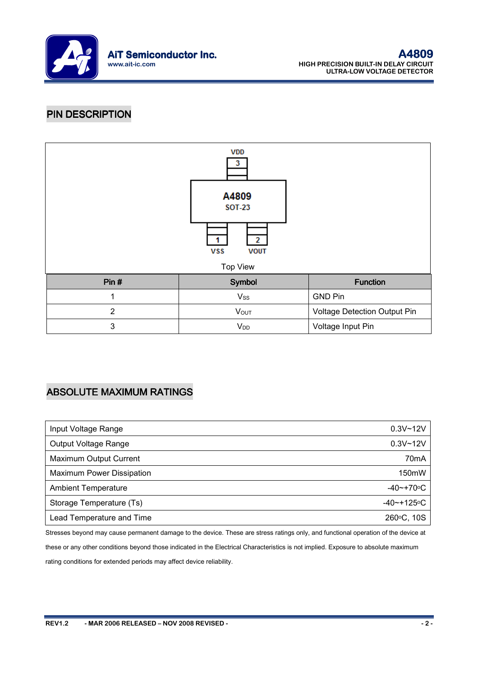

### PIN DESCRIPTION



# ABSOLUTE MAXIMUM RATINGS

| Input Voltage Range        | $0.3V - 12V$          |
|----------------------------|-----------------------|
| Output Voltage Range       | $0.3V - 12V$          |
| Maximum Output Current     | 70 <sub>m</sub> A     |
| Maximum Power Dissipation  | 150mW                 |
| <b>Ambient Temperature</b> | $-40$ ~+70 $\circ$ C  |
| Storage Temperature (Ts)   | $-40$ ~+125 $\circ$ C |
| Lead Temperature and Time  | 260°C, 10S            |

Stresses beyond may cause permanent damage to the device. These are stress ratings only, and functional operation of the device at these or any other conditions beyond those indicated in the Electrical Characteristics is not implied. Exposure to absolute maximum rating conditions for extended periods may affect device reliability.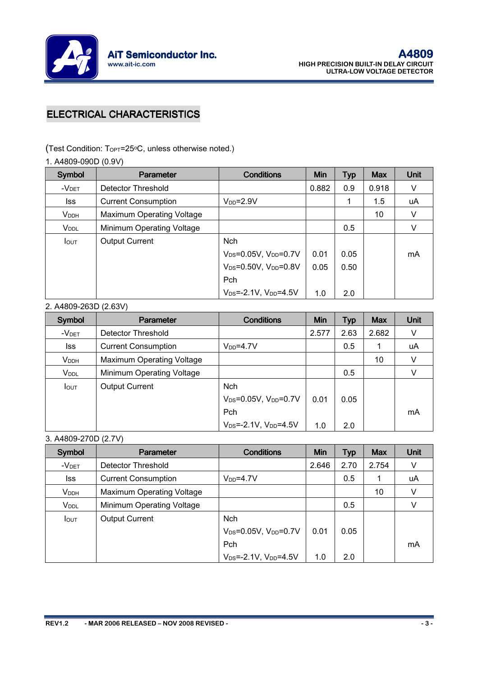

# **ELECTRICAL CHARACTERISTICS**

(Test Condition: TOPT=25oC, unless otherwise noted.)

1. A4809-090D (0.9V)

| Symbol                  | <b>Parameter</b>           | <b>Conditions</b>                             | Min   | <b>Typ</b> | <b>Max</b> | Unit |
|-------------------------|----------------------------|-----------------------------------------------|-------|------------|------------|------|
| $-VDET$                 | Detector Threshold         |                                               | 0.882 | 0.9        | 0.918      | V    |
| lss                     | <b>Current Consumption</b> | $V_{DD} = 2.9V$                               |       |            | 1.5        | uA   |
| <b>V</b> <sub>DDH</sub> | Maximum Operating Voltage  |                                               |       |            | 10         | V    |
| <b>V</b> <sub>DDL</sub> | Minimum Operating Voltage  |                                               |       | 0.5        |            | V    |
| <b>I</b> OUT            | <b>Output Current</b>      | <b>Nch</b>                                    |       |            |            |      |
|                         |                            | $V_{DS} = 0.05V$ , $V_{DD} = 0.7V$            | 0.01  | 0.05       |            | mA   |
|                         |                            | V <sub>DS</sub> =0.50V, V <sub>DD</sub> =0.8V | 0.05  | 0.50       |            |      |
|                         |                            | Pch                                           |       |            |            |      |
|                         |                            | $V_{DS} = -2.1V$ , $V_{DD} = 4.5V$            | 1.0   | 2.0        |            |      |

#### 2. A4809-263D (2.63V)

| Symbol            | Parameter                  | <b>Conditions</b>                             | Min   | <b>Typ</b> | <b>Max</b> | Unit |
|-------------------|----------------------------|-----------------------------------------------|-------|------------|------------|------|
| -V <sub>DET</sub> | Detector Threshold         |                                               | 2.577 | 2.63       | 2.682      | ν    |
| lss.              | <b>Current Consumption</b> | $V_{DD} = 4.7V$                               |       | 0.5        |            | uA   |
| <b>VDDH</b>       | Maximum Operating Voltage  |                                               |       |            | 10         | V    |
| V <sub>DDL</sub>  | Minimum Operating Voltage  |                                               |       | 0.5        |            |      |
| <b>I</b> OUT      | <b>Output Current</b>      | <b>Nch</b>                                    |       |            |            |      |
|                   |                            | V <sub>DS</sub> =0.05V, V <sub>DD</sub> =0.7V | 0.01  | 0.05       |            |      |
|                   |                            | Pch                                           |       |            |            | mA   |
|                   |                            | $V_{DS} = -2.1V$ , $V_{DD} = 4.5V$            | 1.0   | 2.0        |            |      |

3. A4809-270D (2.7V)

| Symbol            | Parameter                  | <b>Conditions</b>                  | <b>Min</b> | <b>Typ</b> | <b>Max</b> | Unit |
|-------------------|----------------------------|------------------------------------|------------|------------|------------|------|
| -V <sub>DET</sub> | Detector Threshold         |                                    | 2.646      | 2.70       | 2.754      |      |
| lss               | <b>Current Consumption</b> | $V_{DD} = 4.7V$                    |            | 0.5        |            | uA   |
| <b>VDDH</b>       | Maximum Operating Voltage  |                                    |            |            | 10         |      |
| V <sub>DDL</sub>  | Minimum Operating Voltage  |                                    |            | 0.5        |            |      |
| <b>I</b> out      | <b>Output Current</b>      | <b>Nch</b>                         |            |            |            |      |
|                   |                            | $V_{DS} = 0.05V$ , $V_{DD} = 0.7V$ | 0.01       | 0.05       |            |      |
|                   |                            | Pch                                |            |            |            | mA   |
|                   |                            | $V_{DS} = -2.1V$ , $V_{DD} = 4.5V$ | 1.0        | 2.0        |            |      |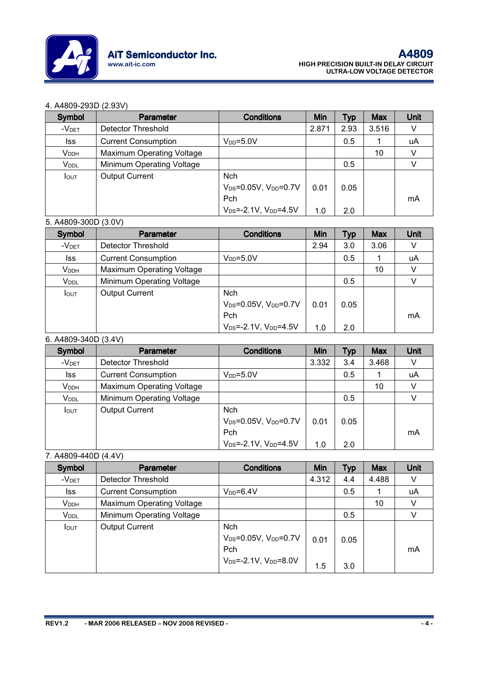

#### 4. A4809-293D (2.93V)

| Symbol                  | <b>Parameter</b>                 | <b>Conditions</b>                             | <b>Min</b> | <b>Typ</b> | <b>Max</b> | Unit |
|-------------------------|----------------------------------|-----------------------------------------------|------------|------------|------------|------|
| $-VDET$                 | Detector Threshold               |                                               | 2.871      | 2.93       | 3.516      |      |
| lss                     | <b>Current Consumption</b>       | $V_{DD} = 5.0V$                               |            | 0.5        |            | uA   |
| <b>V</b> <sub>DDH</sub> | <b>Maximum Operating Voltage</b> |                                               |            |            | 10         |      |
| V <sub>DDL</sub>        | Minimum Operating Voltage        |                                               |            | 0.5        |            |      |
| <b>I</b> out            | <b>Output Current</b>            | <b>Nch</b>                                    |            |            |            |      |
|                         |                                  | V <sub>DS</sub> =0.05V, V <sub>DD</sub> =0.7V | 0.01       | 0.05       |            |      |
|                         |                                  | Pch                                           |            |            |            | mA   |
|                         |                                  | $V_{DS} = -2.1V$ , $V_{DD} = 4.5V$            | 1.0        | 2.0        |            |      |

#### 5. A4809-300D (3.0V)

| Symbol                  | Parameter                  | <b>Conditions</b>                             | Min  | <b>Typ</b> | <b>Max</b> | Unit |
|-------------------------|----------------------------|-----------------------------------------------|------|------------|------------|------|
| -V <sub>DET</sub>       | Detector Threshold         |                                               | 2.94 | 3.0        | 3.06       |      |
| lss                     | <b>Current Consumption</b> | $V_{DD} = 5.0V$                               |      | 0.5        |            | uA   |
| <b>V</b> <sub>DDH</sub> | Maximum Operating Voltage  |                                               |      |            | 10         |      |
| V <sub>DDL</sub>        | Minimum Operating Voltage  |                                               |      | 0.5        |            |      |
| $I_{\text{OUT}}$        | <b>Output Current</b>      | <b>Nch</b>                                    |      |            |            |      |
|                         |                            | V <sub>DS</sub> =0.05V, V <sub>DD</sub> =0.7V | 0.01 | 0.05       |            |      |
|                         |                            | Pch                                           |      |            |            | mA   |
|                         |                            | $V_{DS} = -2.1V$ , $V_{DD} = 4.5V$            | 1.0  | 2.0        |            |      |

#### 6. A4809-340D (3.4V)

| Symbol                  | <b>Parameter</b>                 | <b>Conditions</b>                  | Min   | <b>Typ</b> | <b>Max</b> | Unit |
|-------------------------|----------------------------------|------------------------------------|-------|------------|------------|------|
| -V <sub>DET</sub>       | Detector Threshold               |                                    | 3.332 | 3.4        | 3.468      |      |
| lss                     | <b>Current Consumption</b>       | $V_{DD} = 5.0V$                    |       | 0.5        |            | uA   |
| <b>V</b> <sub>DDH</sub> | <b>Maximum Operating Voltage</b> |                                    |       |            | 10         | V    |
| <b>V</b> <sub>DDL</sub> | Minimum Operating Voltage        |                                    |       | 0.5        |            |      |
| $I_{\text{OUT}}$        | <b>Output Current</b>            | <b>Nch</b>                         |       |            |            |      |
|                         |                                  | $V_{DS} = 0.05V$ , $V_{DD} = 0.7V$ | 0.01  | 0.05       |            |      |
|                         |                                  | Pch                                |       |            |            | mA   |
|                         |                                  | $V_{DS} = -2.1V$ , $V_{DD} = 4.5V$ | 1.0   | 2.0        |            |      |

### 7. A4809-440D (4.4V)

| Symbol            | <b>Parameter</b>           | <b>Conditions</b>                                                                      | <b>Min</b>  | <b>Typ</b>  | <b>Max</b> | Unit |
|-------------------|----------------------------|----------------------------------------------------------------------------------------|-------------|-------------|------------|------|
| -V <sub>DET</sub> | Detector Threshold         |                                                                                        | 4.312       | 4.4         | 4.488      |      |
| lss               | <b>Current Consumption</b> | $V_{DD} = 6.4V$                                                                        |             | 0.5         |            | uA   |
| <b>VDDH</b>       | Maximum Operating Voltage  |                                                                                        |             |             | 10         |      |
| V <sub>DDL</sub>  | Minimum Operating Voltage  |                                                                                        |             | 0.5         |            |      |
| <b>I</b> OUT      | <b>Output Current</b>      | Nch<br>$V_{DS} = 0.05V$ , $V_{DD} = 0.7V$<br>Pch<br>$V_{DS} = -2.1V$ , $V_{DD} = 8.0V$ | 0.01<br>1.5 | 0.05<br>3.0 |            | mA   |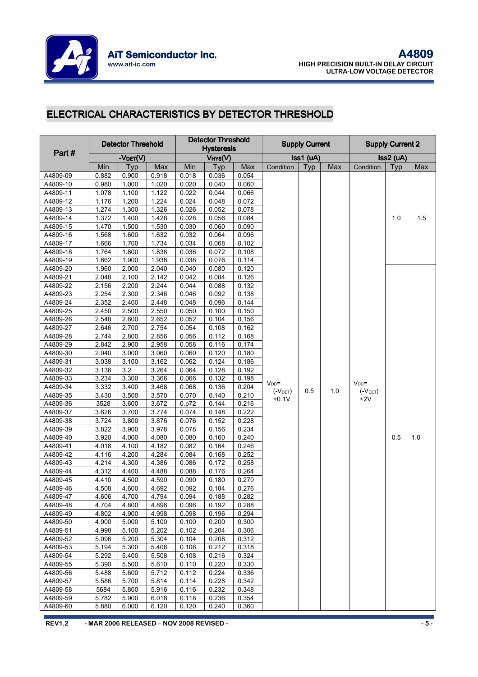

# ELECTRICAL CHARACTERISTICS BY DETECTOR THRESHOLD

|                      |                | <b>Detector Threshold</b> |                |                | <b>Detector Threshold</b>    |                |             | <b>Supply Current</b> |     |             | <b>Supply Current 2</b> |     |
|----------------------|----------------|---------------------------|----------------|----------------|------------------------------|----------------|-------------|-----------------------|-----|-------------|-------------------------|-----|
| Part#                |                |                           |                |                | <b>Hysteresis</b><br>VHYS(V) |                |             | Iss1 (uA)             |     |             | $Iss2$ ( $uA$ )         |     |
|                      | Min            | $-V$ DET $(V)$<br>Typ     | Max            | Min            | Typ                          | Max            | Condition   | Typ                   | Max | Condition   | Typ                     | Max |
| A4809-09             | 0.882          | 0.900                     | 0.918          | 0.018          | 0.036                        | 0.054          |             |                       |     |             |                         |     |
| A4809-10             | 0.980          | 1.000                     | 1.020          | 0.020          | 0.040                        | 0.060          |             |                       |     |             |                         |     |
| A4809-11             | 1.078          | 1.100                     | 1.122          | 0.022          | 0.044                        | 0.066          |             |                       |     |             |                         |     |
| A4809-12             | 1.176          | 1.200                     | 1.224          | 0.024          | 0.048                        | 0.072          |             |                       |     |             |                         |     |
| A4809-13             | 1.274          | 1.300                     | 1.326          | 0.026          | 0.052                        | 0.078          |             |                       |     |             |                         |     |
| A4809-14             | 1.372          | 1.400                     | 1.428          | 0.028          | 0.056                        | 0.084          |             |                       |     |             | 1.0                     | 1.5 |
| A4809-15             | 1.470          | 1.500                     | 1.530          | 0.030          | 0.060                        | 0.090          |             |                       |     |             |                         |     |
| A4809-16             | 1.568          | 1.600                     | 1.632          | 0.032          | 0.064                        | 0.096          |             |                       |     |             |                         |     |
| A4809-17             | 1.666          | 1.700                     | 1.734          | 0.034          | 0.068                        | 0.102          |             |                       |     |             |                         |     |
| A4809-18             | 1.764          | 1.800                     | 1.836          | 0.036          | 0.072                        | 0.108          |             |                       |     |             |                         |     |
| A4809-19             | 1.862          | 1.900                     | 1.938          | 0.038          | 0.076                        | 0.114          |             |                       |     |             |                         |     |
| A4809-20             | 1.960          | 2.000                     | 2.040          | 0.040          | 0.080                        | 0.120          |             |                       |     |             |                         |     |
| A4809-21             | 2.048          | 2.100                     | 2.142          | 0.042          | 0.084                        | 0.126          |             |                       |     |             |                         |     |
| A4809-22             | 2.156          | 2.200                     | 2.244          | 0.044          | 0.088                        | 0.132          |             |                       |     |             |                         |     |
| A4809-23             | 2.254          | 2.300                     | 2.346          | 0.046          | 0.092                        | 0.138          |             |                       |     |             |                         |     |
| A4809-24             | 2.352          | 2.400                     | 2.448          | 0.048          | 0.096                        | 0.144          |             |                       |     |             |                         |     |
| A4809-25             | 2.450          | 2.500                     | 2.550          | 0.050          | 0.100                        | 0.150          |             |                       |     |             |                         |     |
| A4809-26             | 2.548          | 2.600                     | 2.652          | 0.052          | 0.104                        | 0.156          |             |                       |     |             |                         |     |
| A4809-27             | 2.646          | 2.700                     | 2.754          | 0.054          | 0.108                        | 0.162          |             |                       |     |             |                         |     |
| A4809-28             | 2.744          | 2.800                     | 2.856          | 0.056          | 0.112                        | 0.168          |             |                       |     |             |                         |     |
| A4809-29             | 2.842          | 2.900                     | 2.958          | 0.058          | 0.116                        | 0.174          |             |                       |     |             |                         |     |
| A4809-30             | 2.940          | 3.000                     | 3.060          | 0.060          | 0.120                        | 0.180          |             |                       |     |             |                         |     |
| A4809-31             | 3.038          | 3.100                     | 3.162          | 0.062          | 0.124                        | 0.186          |             |                       |     |             |                         |     |
| A4809-32             | 3.136          | 3.2                       | 3.264          | 0.064          | 0.128                        | 0.192          |             |                       |     |             |                         |     |
| A4809-33             | 3.234          | 3.300                     | 3.366          | 0.066          | 0.132                        | 0.198          | $V_{DD}$ =  |                       |     | $V_{DD}$ =  |                         |     |
| A4809-34             | 3.332          | 3.400                     | 3.468          | 0.068          | 0.136                        | 0.204          | $(V_{DET})$ | 0.5                   | 1.0 | $(V_{DET})$ |                         |     |
| A4809-35             | 3.430          | 3.500                     | 3.570          | 0.070          | 0.140                        | 0.210          | $+0.1V$     |                       |     | $+2V$       |                         |     |
| A4809-36             | 3528           | 3.600                     | 3.672          | 0.p72          | 0.144                        | 0.216          |             |                       |     |             |                         |     |
| A4809-37             | 3.626          | 3.700                     | 3.774          | 0.074          | 0.148                        | 0.222          |             |                       |     |             |                         |     |
| A4809-38             | 3.724          | 3.800                     | 3.876          | 0.076          | 0.152                        | 0.228          |             |                       |     |             |                         |     |
| A4809-39             | 3.822          | 3.900                     | 3.978          | 0.078          | 0.156                        | 0.234          |             |                       |     |             |                         |     |
| A4809-40             | 3.920          | 4.000                     | 4.080          | 0.080          | 0.160                        | 0.240          |             |                       |     |             | 0.5                     | 1.0 |
| A4809-41             | 4.018          | 4.100                     | 4.182          | 0.082          | 0.164                        | 0.246          |             |                       |     |             |                         |     |
| A4809-42             | 4.116          | 4.200                     | 4.284          | 0.084          | 0.168                        | 0.252          |             |                       |     |             |                         |     |
| A4809-43             | 4.214          | 4.300                     | 4.386          | 0.086          | 0.172                        | 0.258          |             |                       |     |             |                         |     |
| A4809-44             | 4.312          | 4.400                     | 4.488          | 0.088          | 0.176                        | 0.264          |             |                       |     |             |                         |     |
| A4809-45             | 4.410          | 4.500                     | 4.590          | 0.090          | 0.180                        | 0.270          |             |                       |     |             |                         |     |
| A4809-46             | 4.508          | 4.600                     | 4.692          | 0.092          | 0.184                        | 0.276          |             |                       |     |             |                         |     |
| A4809-47             | 4.606          | 4.700                     | 4.794          | 0.094          | 0.188                        | 0.282          |             |                       |     |             |                         |     |
| A4809-48             | 4.704          | 4.800                     | 4.896          | 0.096          | 0.192                        | 0.288          |             |                       |     |             |                         |     |
| A4809-49             | 4.802          | 4.900                     | 4.998          | 0.098          | 0.196                        | 0.294          |             |                       |     |             |                         |     |
| A4809-50             | 4.900          | 5.000                     | 5.100          | 0.100          | 0.200                        | 0.300          |             |                       |     |             |                         |     |
| A4809-51             | 4.998          | 5.100                     | 5.202          | 0.102          | 0.204                        | 0.306          |             |                       |     |             |                         |     |
| A4809-52<br>A4809-53 | 5.096          | 5.200<br>5.300            | 5.304          | 0.104<br>0.106 | 0.208                        | 0.312          |             |                       |     |             |                         |     |
| A4809-54             | 5.194<br>5.292 | 5.400                     | 5.406<br>5.508 |                | 0.212                        | 0.318<br>0.324 |             |                       |     |             |                         |     |
| A4809-55             | 5.390          | 5.500                     | 5.610          | 0.108<br>0.110 | 0.216<br>0.220               | 0.330          |             |                       |     |             |                         |     |
| A4809-56             | 5.488          | 5.600                     | 5.712          | 0.112          | 0.224                        | 0.336          |             |                       |     |             |                         |     |
| A4809-57             | 5.586          | 5.700                     | 5.814          | 0.114          | 0.228                        | 0.342          |             |                       |     |             |                         |     |
| A4809-58             | 5684           | 5.800                     | 5.916          | 0.116          | 0.232                        | 0.348          |             |                       |     |             |                         |     |
| A4809-59             | 5.782          | 5.900                     | 6.018          | 0.118          | 0.236                        | 0.354          |             |                       |     |             |                         |     |
| A4809-60             | 5.880          | 6.000                     | 6.120          | 0.120          | 0.240                        | 0.360          |             |                       |     |             |                         |     |
|                      |                |                           |                |                |                              |                |             |                       |     |             |                         |     |

REV1.2 - MAR 2006 RELEASED – NOV 2008 REVISED - - 5 -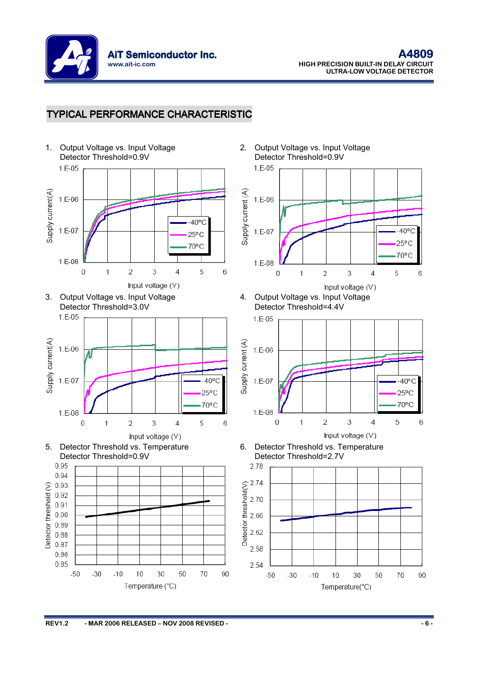

### TYPICAL PERFORMANCE CHARACTERISTIC

1. Output Voltage vs. Input Voltage Detector Threshold=0.9V  $1 F - 0.5$ 











2. Output Voltage vs. Input Voltage Detector Threshold=0.9V



4. Output Voltage vs. Input Voltage Detector Threshold=4.4V



6. Detector Threshold vs. Temperature Detector Threshold=2.7V

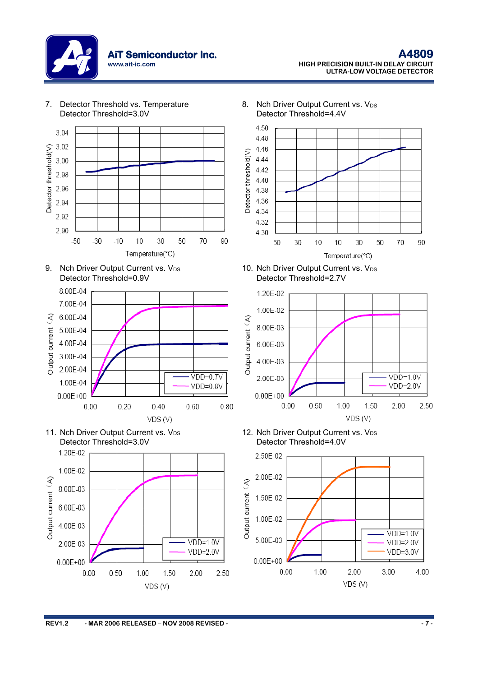

7. Detector Threshold vs. Temperature











8. Nch Driver Output Current vs.  $V_{DS}$ Detector Threshold=4.4V



10. Nch Driver Output Current vs.  $V_{DS}$ Detector Threshold=2.7V



12. Nch Driver Output Current vs. V<sub>DS</sub> Detector Threshold=4.0V

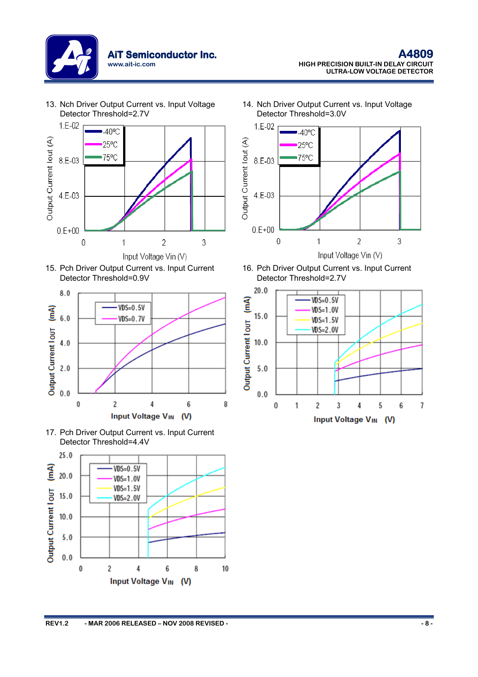

13. Nch Driver Output Current vs. Input Voltage Detector Threshold=2.7V











14. Nch Driver Output Current vs. Input Voltage Detector Threshold=3.0V



16. Pch Driver Output Current vs. Input Current Detector Threshold=2.7V

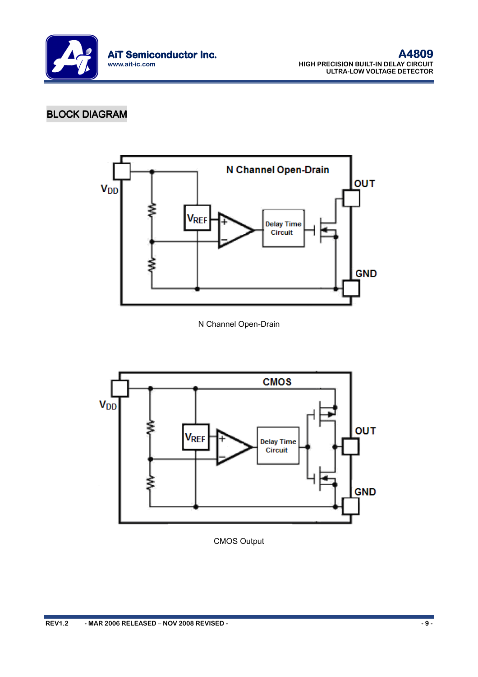

# **BLOCK DIAGRAM**



N Channel Open-Drain



CMOS Output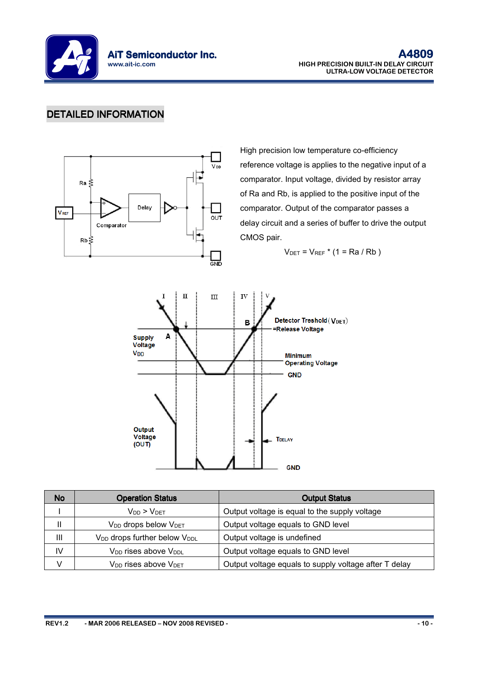

### DETAILED INFORMATION



High precision low temperature co-efficiency reference voltage is applies to the negative input of a comparator. Input voltage, divided by resistor array of Ra and Rb, is applied to the positive input of the comparator. Output of the comparator passes a delay circuit and a series of buffer to drive the output CMOS pair.

 $V_{\text{DET}} = V_{\text{REF}} * (1 = \text{Ra}/Rb)$ 



| <b>No</b> | <b>Operation Status</b>                              | <b>Output Status</b>                                  |
|-----------|------------------------------------------------------|-------------------------------------------------------|
|           | $V_{DD}$ > $V_{DET}$                                 | Output voltage is equal to the supply voltage         |
|           | V <sub>DD</sub> drops below V <sub>DET</sub>         | Output voltage equals to GND level                    |
| Ш         | V <sub>DD</sub> drops further below V <sub>DDL</sub> | Output voltage is undefined                           |
| IV        | V <sub>DD</sub> rises above V <sub>DDL</sub>         | Output voltage equals to GND level                    |
|           | V <sub>DD</sub> rises above V <sub>DET</sub>         | Output voltage equals to supply voltage after T delay |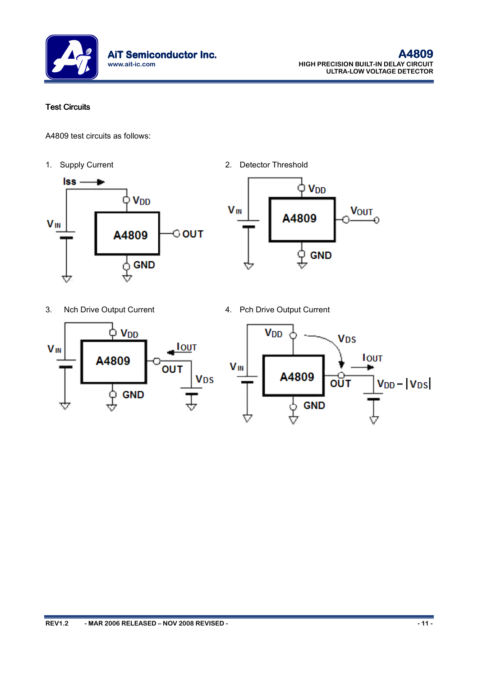

### Test Circuits

A4809 test circuits as follows:



1. Supply Current 2. Detector Threshold



- 3. Nch Drive Output Current 1997 4. Pch Drive Output Current
- 

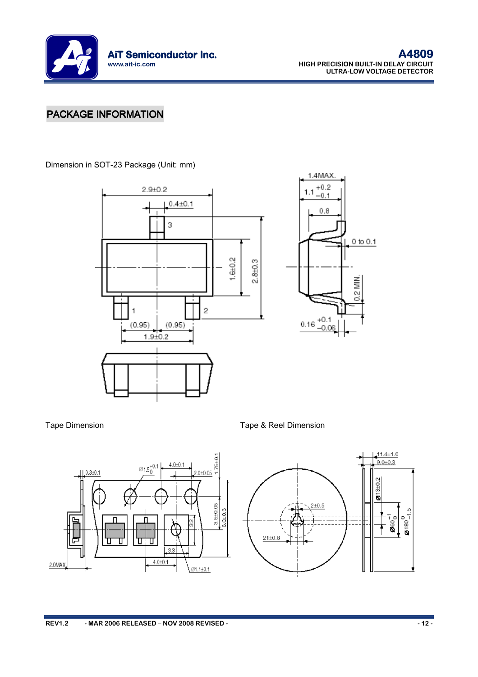

# PACKAGE INFORMATION

Dimension in SOT-23 Package (Unit: mm)





Tape Dimension Tape & Reel Dimension